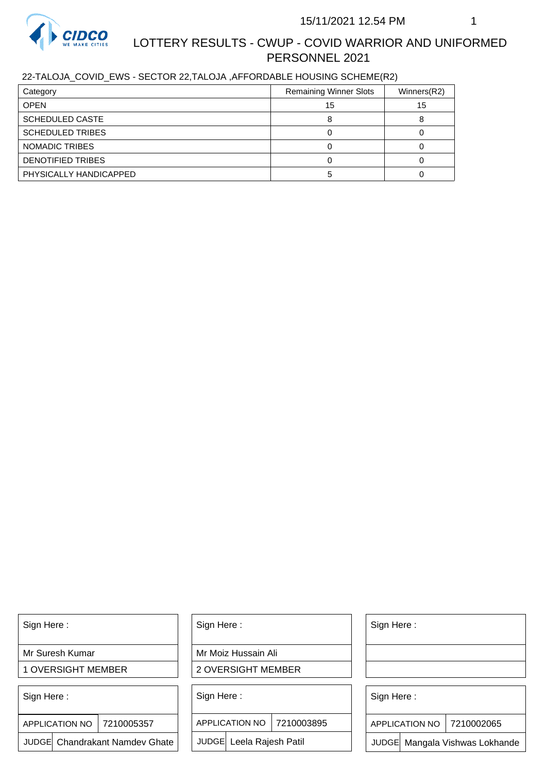

# LOTTERY RESULTS - CWUP - COVID WARRIOR AND UNIFORMED PERSONNEL 2021

## 22-TALOJA\_COVID\_EWS - SECTOR 22,TALOJA ,AFFORDABLE HOUSING SCHEME(R2)

| Category                | <b>Remaining Winner Slots</b> | Winners(R2) |
|-------------------------|-------------------------------|-------------|
| <b>OPEN</b>             | 15                            | 15          |
| <b>SCHEDULED CASTE</b>  |                               |             |
| <b>SCHEDULED TRIBES</b> |                               |             |
| NOMADIC TRIBES          |                               |             |
| DENOTIFIED TRIBES       |                               |             |
| PHYSICALLY HANDICAPPED  |                               |             |

Sign Here :

Mr Suresh Kumar

1 OVERSIGHT MEMBER

Sign Here :

APPLICATION NO | 7210005357

JUDGE Chandrakant Namdev Ghate

Sign Here :

Mr Moiz Hussain Ali

2 OVERSIGHT MEMBER

Sign Here :

APPLICATION NO 7210003895

JUDGE Leela Rajesh Patil

Sign Here :

Sign Here :

APPLICATION NO | 7210002065

Chandrakant Namdev Ghate  $|\quad|$  JUDGE Leela Rajesh Patil  $|\quad|$  JUDGE Mangala Vishwas Lokhande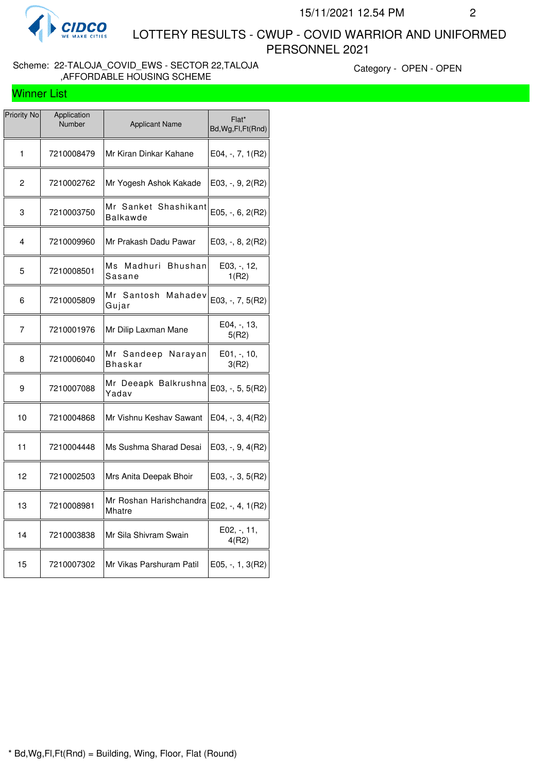

Winner List

 LOTTERY RESULTS - CWUP - COVID WARRIOR AND UNIFORMED PERSONNEL 2021

#### Scheme: 22-TALOJA\_COVID\_EWS - SECTOR 22,TALOJA ,AFFORDABLE HOUSING SCHEME

Category - OPEN - OPEN

| Priority No    | Application<br>Number | <b>Applicant Name</b>              | Flat*<br>Bd, Wg, Fl, Ft (Rnd) |
|----------------|-----------------------|------------------------------------|-------------------------------|
| 1              | 7210008479            | Mr Kiran Dinkar Kahane             | E04, -, 7, 1(R2)              |
| $\overline{c}$ | 7210002762            | Mr Yogesh Ashok Kakade             | E03, -, 9, 2(R2)              |
| 3              | 7210003750            | Mr Sanket Shashikant<br>Balkawde   | E05, $-$ , 6, 2(R2)           |
| 4              | 7210009960            | Mr Prakash Dadu Pawar              | $E03, -, 8, 2(R2)$            |
| 5              | 7210008501            | Madhuri<br>Мs<br>Bhushan<br>Sasane | E03, -, 12,<br>1(R2)          |
| 6              | 7210005809            | Mahadev<br>Mr Santosh<br>Gujar     | $E03, -7, 5(R2)$              |
| 7              | 7210001976            | Mr Dilip Laxman Mane               | E04, -, 13,<br>5(R2)          |
| 8              | 7210006040            | Mr Sandeep Narayan<br>Bhaskar      | E01, -, 10,<br>3(R2)          |
| 9              | 7210007088            | Mr Deeapk Balkrushna<br>Yadav      | $E03, -, 5, 5(R2)$            |
| 10             | 7210004868            | Mr Vishnu Keshav Sawant            | E04, -, 3, 4(R2)              |
| 11             | 7210004448            | Ms Sushma Sharad Desai             | E03, -, 9, 4(R2)              |
| 12             | 7210002503            | Mrs Anita Deepak Bhoir             | E03, -, 3, 5(R2)              |
| 13             | 7210008981            | Mr Roshan Harishchandra<br>Mhatre  | $E02, -, 4, 1(R2)$            |
| 14             | 7210003838            | Mr Sila Shivram Swain              | E02, -, 11,<br>4(R2)          |
| 15             | 7210007302            | Mr Vikas Parshuram Patil           | E05, -, 1, 3(R2)              |